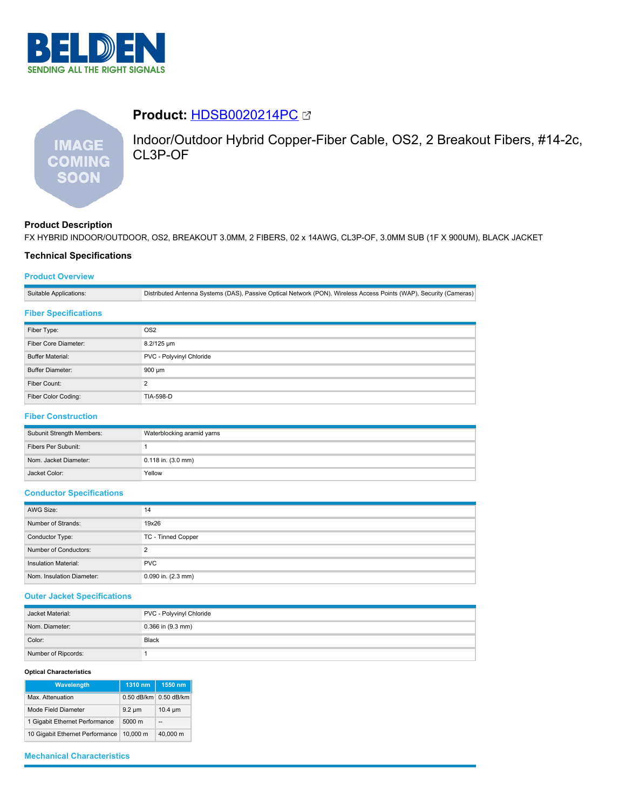

# **IMAGE COMING SOON**

Indoor/Outdoor Hybrid Copper-Fiber Cable, OS2, 2 Breakout Fibers, #14-2c, CL3P-OF

# **Product Description**

FX HYBRID INDOOR/OUTDOOR, OS2, BREAKOUT 3.0MM, 2 FIBERS, 02 x 14AWG, CL3P-OF, 3.0MM SUB (1F X 900UM), BLACK JACKET

## **Technical Specifications**

# **Product Overview**

Suitable Applications: Distributed Antenna Systems (DAS), Passive Optical Network (PON), Wireless Access Points (WAP), Security (Cameras)

**Product:** [HDSB0020214PC](https://catalog.belden.com/index.cfm?event=pd&p=PF_HDSB0020214PC&tab=downloads)

## **Fiber Specifications**

| Fiber Type:             | OS <sub>2</sub>          |  |
|-------------------------|--------------------------|--|
| Fiber Core Diameter:    | 8.2/125 um               |  |
| <b>Buffer Material:</b> | PVC - Polyvinyl Chloride |  |
| <b>Buffer Diameter:</b> | 900 um                   |  |
| Fiber Count:            | ◠                        |  |
| Fiber Color Coding:     | <b>TIA-598-D</b>         |  |

# **Fiber Construction**

| Subunit Strength Members: | Waterblocking aramid yarns |  |
|---------------------------|----------------------------|--|
| Fibers Per Subunit:       |                            |  |
| Nom. Jacket Diameter:     | $0.118$ in. $(3.0$ mm)     |  |
| Jacket Color:             | Yellow                     |  |

#### **Conductor Specifications**

| AWG Size:                   | 14                     |  |
|-----------------------------|------------------------|--|
| Number of Strands:          | 19x26                  |  |
| Conductor Type:             | TC - Tinned Copper     |  |
| Number of Conductors:       | っ                      |  |
| <b>Insulation Material:</b> | <b>PVC</b>             |  |
| Nom. Insulation Diameter:   | $0.090$ in. $(2.3$ mm) |  |

### **Outer Jacket Specifications**

| Jacket Material:    | PVC - Polyvinyl Chloride |  |
|---------------------|--------------------------|--|
| Nom. Diameter:      | $0.366$ in $(9.3$ mm)    |  |
| Color:              | Black                    |  |
| Number of Ripcords: |                          |  |

#### **Optical Characteristics**

| Wavelength                      | 1310 nm          | 1550 nm      |
|---------------------------------|------------------|--------------|
| Max. Attenuation                | $0.50$ dB/km     | $0.50$ dB/km |
| Mode Field Diameter             | $9.2 \mu m$      | $10.4 \mu m$ |
| 1 Gigabit Ethernet Performance  | $5000 \text{ m}$ | --           |
| 10 Gigabit Ethernet Performance | 10.000 m         | 40.000 m     |

## **Mechanical Characteristics**